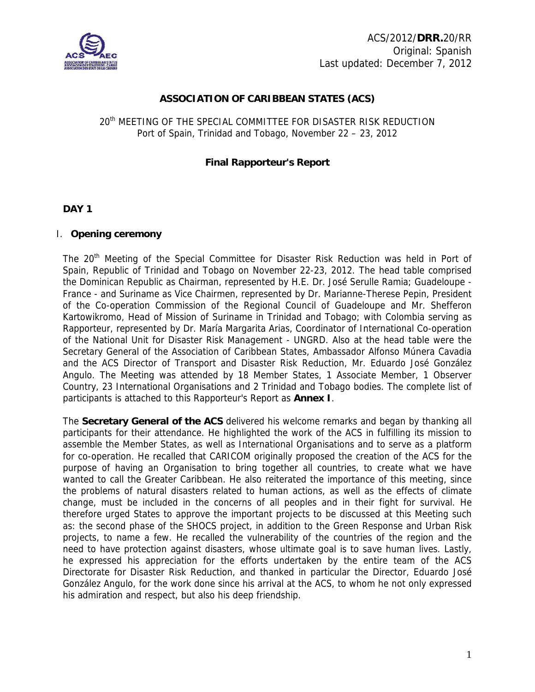

## **ASSOCIATION OF CARIBBEAN STATES (ACS)**

## 20th MEETING OF THE SPECIAL COMMITTEE FOR DISASTER RISK REDUCTION Port of Spain, Trinidad and Tobago, November 22 – 23, 2012

## **Final Rapporteur's Report**

## **DAY 1**

## I. **Opening ceremony**

The 20<sup>th</sup> Meeting of the Special Committee for Disaster Risk Reduction was held in Port of Spain, Republic of Trinidad and Tobago on November 22-23, 2012. The head table comprised the Dominican Republic as Chairman, represented by H.E. Dr. José Serulle Ramia; Guadeloupe - France - and Suriname as Vice Chairmen, represented by Dr. Marianne-Therese Pepin, President of the Co-operation Commission of the Regional Council of Guadeloupe and Mr. Shefferon Kartowikromo, Head of Mission of Suriname in Trinidad and Tobago; with Colombia serving as Rapporteur, represented by Dr. María Margarita Arias, Coordinator of International Co-operation of the National Unit for Disaster Risk Management - UNGRD. Also at the head table were the Secretary General of the Association of Caribbean States, Ambassador Alfonso Múnera Cavadia and the ACS Director of Transport and Disaster Risk Reduction, Mr. Eduardo José González Angulo. The Meeting was attended by 18 Member States, 1 Associate Member, 1 Observer Country, 23 International Organisations and 2 Trinidad and Tobago bodies. The complete list of participants is attached to this Rapporteur's Report as **Annex I**.

The **Secretary General of the ACS** delivered his welcome remarks and began by thanking all participants for their attendance. He highlighted the work of the ACS in fulfilling its mission to assemble the Member States, as well as International Organisations and to serve as a platform for co-operation. He recalled that CARICOM originally proposed the creation of the ACS for the purpose of having an Organisation to bring together all countries, to create what we have wanted to call the Greater Caribbean. He also reiterated the importance of this meeting, since the problems of natural disasters related to human actions, as well as the effects of climate change, must be included in the concerns of all peoples and in their fight for survival. He therefore urged States to approve the important projects to be discussed at this Meeting such as: the second phase of the SHOCS project, in addition to the Green Response and Urban Risk projects, to name a few. He recalled the vulnerability of the countries of the region and the need to have protection against disasters, whose ultimate goal is to save human lives. Lastly, he expressed his appreciation for the efforts undertaken by the entire team of the ACS Directorate for Disaster Risk Reduction, and thanked in particular the Director, Eduardo José González Angulo, for the work done since his arrival at the ACS, to whom he not only expressed his admiration and respect, but also his deep friendship.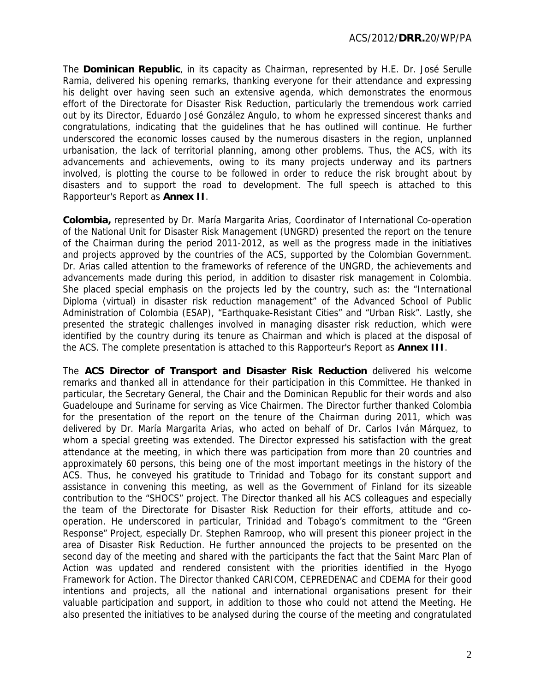The **Dominican Republic**, in its capacity as Chairman, represented by H.E. Dr. José Serulle Ramia, delivered his opening remarks, thanking everyone for their attendance and expressing his delight over having seen such an extensive agenda, which demonstrates the enormous effort of the Directorate for Disaster Risk Reduction, particularly the tremendous work carried out by its Director, Eduardo José González Angulo, to whom he expressed sincerest thanks and congratulations, indicating that the guidelines that he has outlined will continue. He further underscored the economic losses caused by the numerous disasters in the region, unplanned urbanisation, the lack of territorial planning, among other problems. Thus, the ACS, with its advancements and achievements, owing to its many projects underway and its partners involved, is plotting the course to be followed in order to reduce the risk brought about by disasters and to support the road to development. The full speech is attached to this Rapporteur's Report as **Annex II**.

**Colombia,** represented by Dr. María Margarita Arias, Coordinator of International Co-operation of the National Unit for Disaster Risk Management (UNGRD) presented the report on the tenure of the Chairman during the period 2011-2012, as well as the progress made in the initiatives and projects approved by the countries of the ACS, supported by the Colombian Government. Dr. Arias called attention to the frameworks of reference of the UNGRD, the achievements and advancements made during this period, in addition to disaster risk management in Colombia. She placed special emphasis on the projects led by the country, such as: the "International Diploma (virtual) in disaster risk reduction management" of the Advanced School of Public Administration of Colombia (ESAP), "Earthquake-Resistant Cities" and "Urban Risk". Lastly, she presented the strategic challenges involved in managing disaster risk reduction, which were identified by the country during its tenure as Chairman and which is placed at the disposal of the ACS. The complete presentation is attached to this Rapporteur's Report as **Annex III**.

The **ACS Director of Transport and Disaster Risk Reduction** delivered his welcome remarks and thanked all in attendance for their participation in this Committee. He thanked in particular, the Secretary General, the Chair and the Dominican Republic for their words and also Guadeloupe and Suriname for serving as Vice Chairmen. The Director further thanked Colombia for the presentation of the report on the tenure of the Chairman during 2011, which was delivered by Dr. María Margarita Arias, who acted on behalf of Dr. Carlos Iván Márquez, to whom a special greeting was extended. The Director expressed his satisfaction with the great attendance at the meeting, in which there was participation from more than 20 countries and approximately 60 persons, this being one of the most important meetings in the history of the ACS. Thus, he conveyed his gratitude to Trinidad and Tobago for its constant support and assistance in convening this meeting, as well as the Government of Finland for its sizeable contribution to the "SHOCS" project. The Director thanked all his ACS colleagues and especially the team of the Directorate for Disaster Risk Reduction for their efforts, attitude and cooperation. He underscored in particular, Trinidad and Tobago's commitment to the "Green Response" Project, especially Dr. Stephen Ramroop, who will present this pioneer project in the area of Disaster Risk Reduction. He further announced the projects to be presented on the second day of the meeting and shared with the participants the fact that the Saint Marc Plan of Action was updated and rendered consistent with the priorities identified in the Hyogo Framework for Action. The Director thanked CARICOM, CEPREDENAC and CDEMA for their good intentions and projects, all the national and international organisations present for their valuable participation and support, in addition to those who could not attend the Meeting. He also presented the initiatives to be analysed during the course of the meeting and congratulated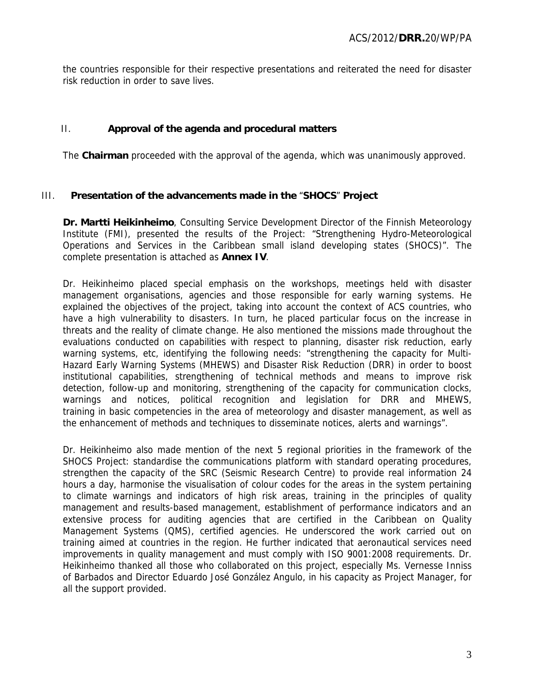the countries responsible for their respective presentations and reiterated the need for disaster risk reduction in order to save lives.

## II. **Approval of the agenda and procedural matters**

The **Chairman** proceeded with the approval of the agenda, which was unanimously approved.

#### III. **Presentation of the advancements made in the** "**SHOCS**" **Project**

**Dr. Martti Heikinheimo**, Consulting Service Development Director of the Finnish Meteorology Institute (FMI), presented the results of the Project: "Strengthening Hydro-Meteorological Operations and Services in the Caribbean small island developing states (SHOCS)". The complete presentation is attached as **Annex IV**.

Dr. Heikinheimo placed special emphasis on the workshops, meetings held with disaster management organisations, agencies and those responsible for early warning systems. He explained the objectives of the project, taking into account the context of ACS countries, who have a high vulnerability to disasters. In turn, he placed particular focus on the increase in threats and the reality of climate change. He also mentioned the missions made throughout the evaluations conducted on capabilities with respect to planning, disaster risk reduction, early warning systems, etc, identifying the following needs: "strengthening the capacity for Multi-Hazard Early Warning Systems (MHEWS) and Disaster Risk Reduction (DRR) in order to boost institutional capabilities, strengthening of technical methods and means to improve risk detection, follow-up and monitoring, strengthening of the capacity for communication clocks, warnings and notices, political recognition and legislation for DRR and MHEWS, training in basic competencies in the area of meteorology and disaster management, as well as the enhancement of methods and techniques to disseminate notices, alerts and warnings".

Dr. Heikinheimo also made mention of the next 5 regional priorities in the framework of the SHOCS Project: standardise the communications platform with standard operating procedures, strengthen the capacity of the SRC (Seismic Research Centre) to provide real information 24 hours a day, harmonise the visualisation of colour codes for the areas in the system pertaining to climate warnings and indicators of high risk areas, training in the principles of quality management and results-based management, establishment of performance indicators and an extensive process for auditing agencies that are certified in the Caribbean on Quality Management Systems (QMS), certified agencies. He underscored the work carried out on training aimed at countries in the region. He further indicated that aeronautical services need improvements in quality management and must comply with ISO 9001:2008 requirements. Dr. Heikinheimo thanked all those who collaborated on this project, especially Ms. Vernesse Inniss of Barbados and Director Eduardo José González Angulo, in his capacity as Project Manager, for all the support provided.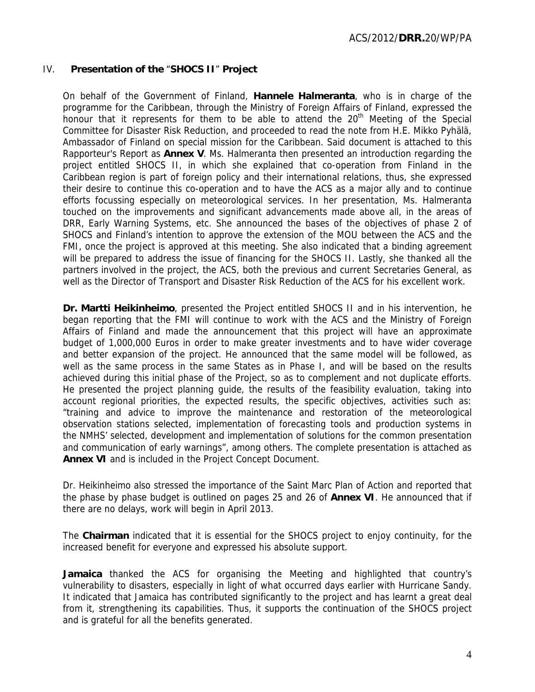## IV. **Presentation of the** "**SHOCS II**" **Project**

On behalf of the Government of Finland, **Hannele Halmeranta**, who is in charge of the programme for the Caribbean, through the Ministry of Foreign Affairs of Finland, expressed the honour that it represents for them to be able to attend the 20<sup>th</sup> Meeting of the Special Committee for Disaster Risk Reduction, and proceeded to read the note from H.E. Mikko Pyhälä, Ambassador of Finland on special mission for the Caribbean. Said document is attached to this Rapporteur's Report as **Annex V**. Ms. Halmeranta then presented an introduction regarding the project entitled SHOCS II, in which she explained that co-operation from Finland in the Caribbean region is part of foreign policy and their international relations, thus, she expressed their desire to continue this co-operation and to have the ACS as a major ally and to continue efforts focussing especially on meteorological services. In her presentation, Ms. Halmeranta touched on the improvements and significant advancements made above all, in the areas of DRR, Early Warning Systems, etc. She announced the bases of the objectives of phase 2 of SHOCS and Finland's intention to approve the extension of the MOU between the ACS and the FMI, once the project is approved at this meeting. She also indicated that a binding agreement will be prepared to address the issue of financing for the SHOCS II. Lastly, she thanked all the partners involved in the project, the ACS, both the previous and current Secretaries General, as well as the Director of Transport and Disaster Risk Reduction of the ACS for his excellent work.

**Dr. Martti Heikinheimo**, presented the Project entitled SHOCS II and in his intervention, he began reporting that the FMI will continue to work with the ACS and the Ministry of Foreign Affairs of Finland and made the announcement that this project will have an approximate budget of 1,000,000 Euros in order to make greater investments and to have wider coverage and better expansion of the project. He announced that the same model will be followed, as well as the same process in the same States as in Phase I, and will be based on the results achieved during this initial phase of the Project, so as to complement and not duplicate efforts. He presented the project planning guide, the results of the feasibility evaluation, taking into account regional priorities, the expected results, the specific objectives, activities such as: "training and advice to improve the maintenance and restoration of the meteorological observation stations selected, implementation of forecasting tools and production systems in the NMHS' selected, development and implementation of solutions for the common presentation and communication of early warnings", among others. The complete presentation is attached as **Annex VI** and is included in the Project Concept Document.

Dr. Heikinheimo also stressed the importance of the Saint Marc Plan of Action and reported that the phase by phase budget is outlined on pages 25 and 26 of **Annex VI**. He announced that if there are no delays, work will begin in April 2013.

The **Chairman** indicated that it is essential for the SHOCS project to enjoy continuity, for the increased benefit for everyone and expressed his absolute support.

**Jamaica** thanked the ACS for organising the Meeting and highlighted that country's vulnerability to disasters, especially in light of what occurred days earlier with Hurricane Sandy. It indicated that Jamaica has contributed significantly to the project and has learnt a great deal from it, strengthening its capabilities. Thus, it supports the continuation of the SHOCS project and is grateful for all the benefits generated.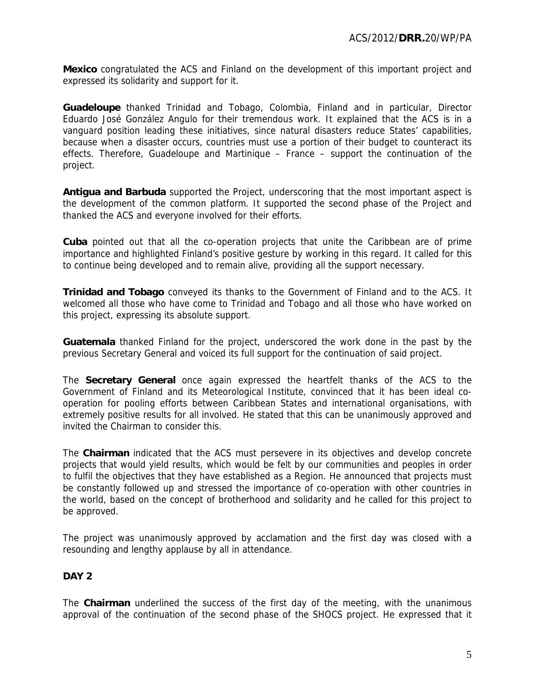**Mexico** congratulated the ACS and Finland on the development of this important project and expressed its solidarity and support for it.

**Guadeloupe** thanked Trinidad and Tobago, Colombia, Finland and in particular, Director Eduardo José González Angulo for their tremendous work. It explained that the ACS is in a vanguard position leading these initiatives, since natural disasters reduce States' capabilities, because when a disaster occurs, countries must use a portion of their budget to counteract its effects. Therefore, Guadeloupe and Martinique – France – support the continuation of the project.

**Antigua and Barbuda** supported the Project, underscoring that the most important aspect is the development of the common platform. It supported the second phase of the Project and thanked the ACS and everyone involved for their efforts.

**Cuba** pointed out that all the co-operation projects that unite the Caribbean are of prime importance and highlighted Finland's positive gesture by working in this regard. It called for this to continue being developed and to remain alive, providing all the support necessary.

**Trinidad and Tobago** conveyed its thanks to the Government of Finland and to the ACS. It welcomed all those who have come to Trinidad and Tobago and all those who have worked on this project, expressing its absolute support.

**Guatemala** thanked Finland for the project, underscored the work done in the past by the previous Secretary General and voiced its full support for the continuation of said project.

The **Secretary General** once again expressed the heartfelt thanks of the ACS to the Government of Finland and its Meteorological Institute, convinced that it has been ideal cooperation for pooling efforts between Caribbean States and international organisations, with extremely positive results for all involved. He stated that this can be unanimously approved and invited the Chairman to consider this.

The **Chairman** indicated that the ACS must persevere in its objectives and develop concrete projects that would yield results, which would be felt by our communities and peoples in order to fulfil the objectives that they have established as a Region. He announced that projects must be constantly followed up and stressed the importance of co-operation with other countries in the world, based on the concept of brotherhood and solidarity and he called for this project to be approved.

The project was unanimously approved by acclamation and the first day was closed with a resounding and lengthy applause by all in attendance.

## **DAY 2**

The **Chairman** underlined the success of the first day of the meeting, with the unanimous approval of the continuation of the second phase of the SHOCS project. He expressed that it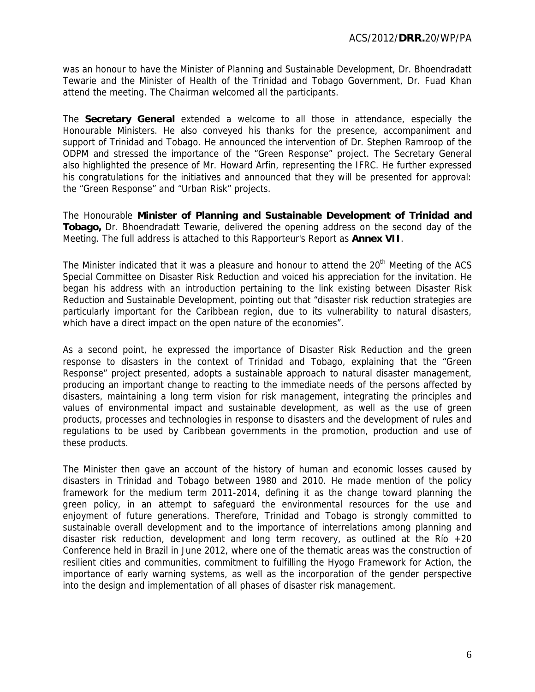was an honour to have the Minister of Planning and Sustainable Development, Dr. Bhoendradatt Tewarie and the Minister of Health of the Trinidad and Tobago Government, Dr. Fuad Khan attend the meeting. The Chairman welcomed all the participants.

The **Secretary General** extended a welcome to all those in attendance, especially the Honourable Ministers. He also conveyed his thanks for the presence, accompaniment and support of Trinidad and Tobago. He announced the intervention of Dr. Stephen Ramroop of the ODPM and stressed the importance of the "Green Response" project. The Secretary General also highlighted the presence of Mr. Howard Arfin, representing the IFRC. He further expressed his congratulations for the initiatives and announced that they will be presented for approval: the "Green Response" and "Urban Risk" projects.

The Honourable **Minister of Planning and Sustainable Development of Trinidad and Tobago,** Dr. Bhoendradatt Tewarie, delivered the opening address on the second day of the Meeting. The full address is attached to this Rapporteur's Report as **Annex VII**.

The Minister indicated that it was a pleasure and honour to attend the 20<sup>th</sup> Meeting of the ACS Special Committee on Disaster Risk Reduction and voiced his appreciation for the invitation. He began his address with an introduction pertaining to the link existing between Disaster Risk Reduction and Sustainable Development, pointing out that "disaster risk reduction strategies are particularly important for the Caribbean region, due to its vulnerability to natural disasters, which have a direct impact on the open nature of the economies".

As a second point, he expressed the importance of Disaster Risk Reduction and the green response to disasters in the context of Trinidad and Tobago, explaining that the "Green Response" project presented, adopts a sustainable approach to natural disaster management, producing an important change to reacting to the immediate needs of the persons affected by disasters, maintaining a long term vision for risk management, integrating the principles and values of environmental impact and sustainable development, as well as the use of green products, processes and technologies in response to disasters and the development of rules and regulations to be used by Caribbean governments in the promotion, production and use of these products.

The Minister then gave an account of the history of human and economic losses caused by disasters in Trinidad and Tobago between 1980 and 2010. He made mention of the policy framework for the medium term 2011-2014, defining it as the change toward planning the green policy, in an attempt to safeguard the environmental resources for the use and enjoyment of future generations. Therefore, Trinidad and Tobago is strongly committed to sustainable overall development and to the importance of interrelations among planning and disaster risk reduction, development and long term recovery, as outlined at the Río  $+20$ Conference held in Brazil in June 2012, where one of the thematic areas was the construction of resilient cities and communities, commitment to fulfilling the Hyogo Framework for Action, the importance of early warning systems, as well as the incorporation of the gender perspective into the design and implementation of all phases of disaster risk management.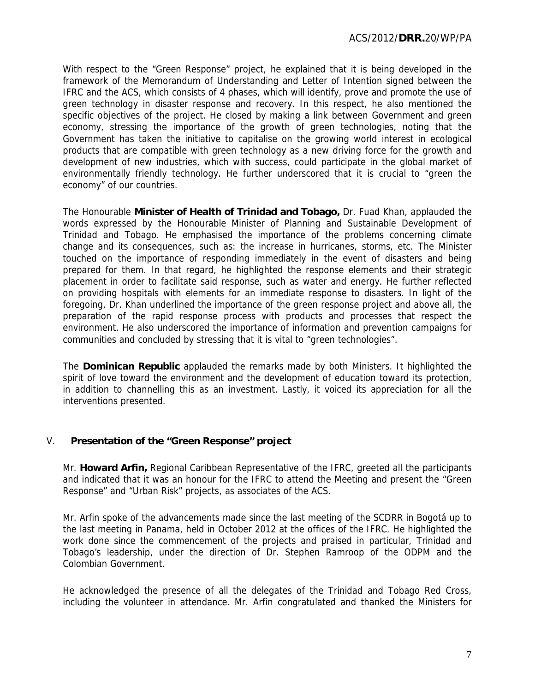With respect to the "Green Response" project, he explained that it is being developed in the framework of the Memorandum of Understanding and Letter of Intention signed between the IFRC and the ACS, which consists of 4 phases, which will identify, prove and promote the use of green technology in disaster response and recovery. In this respect, he also mentioned the specific objectives of the project. He closed by making a link between Government and green economy, stressing the importance of the growth of green technologies, noting that the Government has taken the initiative to capitalise on the growing world interest in ecological products that are compatible with green technology as a new driving force for the growth and development of new industries, which with success, could participate in the global market of environmentally friendly technology. He further underscored that it is crucial to "green the economy" of our countries.

The Honourable **Minister of Health of Trinidad and Tobago,** Dr. Fuad Khan, applauded the words expressed by the Honourable Minister of Planning and Sustainable Development of Trinidad and Tobago. He emphasised the importance of the problems concerning climate change and its consequences, such as: the increase in hurricanes, storms, etc. The Minister touched on the importance of responding immediately in the event of disasters and being prepared for them. In that regard, he highlighted the response elements and their strategic placement in order to facilitate said response, such as water and energy. He further reflected on providing hospitals with elements for an immediate response to disasters. In light of the foregoing, Dr. Khan underlined the importance of the green response project and above all, the preparation of the rapid response process with products and processes that respect the environment. He also underscored the importance of information and prevention campaigns for communities and concluded by stressing that it is vital to "green technologies".

The **Dominican Republic** applauded the remarks made by both Ministers. It highlighted the spirit of love toward the environment and the development of education toward its protection, in addition to channelling this as an investment. Lastly, it voiced its appreciation for all the interventions presented.

## V. **Presentation of the "Green Response" project**

Mr. **Howard Arfin,** Regional Caribbean Representative of the IFRC, greeted all the participants and indicated that it was an honour for the IFRC to attend the Meeting and present the "Green Response" and "Urban Risk" projects, as associates of the ACS.

Mr. Arfin spoke of the advancements made since the last meeting of the SCDRR in Bogotá up to the last meeting in Panama, held in October 2012 at the offices of the IFRC. He highlighted the work done since the commencement of the projects and praised in particular, Trinidad and Tobago's leadership, under the direction of Dr. Stephen Ramroop of the ODPM and the Colombian Government.

He acknowledged the presence of all the delegates of the Trinidad and Tobago Red Cross, including the volunteer in attendance. Mr. Arfin congratulated and thanked the Ministers for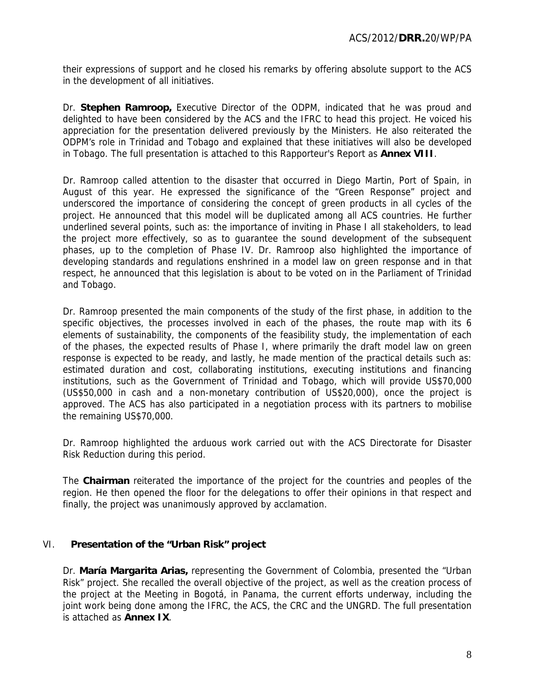their expressions of support and he closed his remarks by offering absolute support to the ACS in the development of all initiatives.

Dr. **Stephen Ramroop,** Executive Director of the ODPM, indicated that he was proud and delighted to have been considered by the ACS and the IFRC to head this project. He voiced his appreciation for the presentation delivered previously by the Ministers. He also reiterated the ODPM's role in Trinidad and Tobago and explained that these initiatives will also be developed in Tobago. The full presentation is attached to this Rapporteur's Report as **Annex VIII**.

Dr. Ramroop called attention to the disaster that occurred in Diego Martin, Port of Spain, in August of this year. He expressed the significance of the "Green Response" project and underscored the importance of considering the concept of green products in all cycles of the project. He announced that this model will be duplicated among all ACS countries. He further underlined several points, such as: the importance of inviting in Phase I all stakeholders, to lead the project more effectively, so as to guarantee the sound development of the subsequent phases, up to the completion of Phase IV. Dr. Ramroop also highlighted the importance of developing standards and regulations enshrined in a model law on green response and in that respect, he announced that this legislation is about to be voted on in the Parliament of Trinidad and Tobago.

Dr. Ramroop presented the main components of the study of the first phase, in addition to the specific objectives, the processes involved in each of the phases, the route map with its 6 elements of sustainability, the components of the feasibility study, the implementation of each of the phases, the expected results of Phase I, where primarily the draft model law on green response is expected to be ready, and lastly, he made mention of the practical details such as: estimated duration and cost, collaborating institutions, executing institutions and financing institutions, such as the Government of Trinidad and Tobago, which will provide US\$70,000 (US\$50,000 in cash and a non-monetary contribution of US\$20,000), once the project is approved. The ACS has also participated in a negotiation process with its partners to mobilise the remaining US\$70,000.

Dr. Ramroop highlighted the arduous work carried out with the ACS Directorate for Disaster Risk Reduction during this period.

The **Chairman** reiterated the importance of the project for the countries and peoples of the region. He then opened the floor for the delegations to offer their opinions in that respect and finally, the project was unanimously approved by acclamation.

## VI. **Presentation of the "Urban Risk" project**

Dr. **María Margarita Arias,** representing the Government of Colombia, presented the "Urban Risk" project. She recalled the overall objective of the project, as well as the creation process of the project at the Meeting in Bogotá, in Panama, the current efforts underway, including the joint work being done among the IFRC, the ACS, the CRC and the UNGRD. The full presentation is attached as **Annex IX**.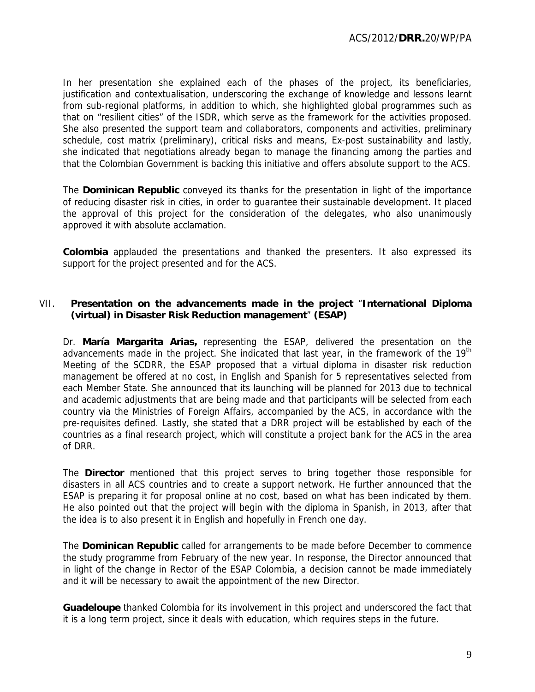In her presentation she explained each of the phases of the project, its beneficiaries, justification and contextualisation, underscoring the exchange of knowledge and lessons learnt from sub-regional platforms, in addition to which, she highlighted global programmes such as that on "resilient cities" of the ISDR, which serve as the framework for the activities proposed. She also presented the support team and collaborators, components and activities, preliminary schedule, cost matrix (preliminary), critical risks and means, Ex-post sustainability and lastly, she indicated that negotiations already began to manage the financing among the parties and that the Colombian Government is backing this initiative and offers absolute support to the ACS.

The **Dominican Republic** conveyed its thanks for the presentation in light of the importance of reducing disaster risk in cities, in order to guarantee their sustainable development. It placed the approval of this project for the consideration of the delegates, who also unanimously approved it with absolute acclamation.

**Colombia** applauded the presentations and thanked the presenters. It also expressed its support for the project presented and for the ACS.

## VII. **Presentation on the advancements made in the project** "**International Diploma (virtual) in Disaster Risk Reduction management**" **(ESAP)**

Dr. **María Margarita Arias,** representing the ESAP, delivered the presentation on the advancements made in the project. She indicated that last year, in the framework of the  $19<sup>th</sup>$ Meeting of the SCDRR, the ESAP proposed that a virtual diploma in disaster risk reduction management be offered at no cost, in English and Spanish for 5 representatives selected from each Member State. She announced that its launching will be planned for 2013 due to technical and academic adjustments that are being made and that participants will be selected from each country via the Ministries of Foreign Affairs, accompanied by the ACS, in accordance with the pre-requisites defined. Lastly, she stated that a DRR project will be established by each of the countries as a final research project, which will constitute a project bank for the ACS in the area of DRR.

The **Director** mentioned that this project serves to bring together those responsible for disasters in all ACS countries and to create a support network. He further announced that the ESAP is preparing it for proposal online at no cost, based on what has been indicated by them. He also pointed out that the project will begin with the diploma in Spanish, in 2013, after that the idea is to also present it in English and hopefully in French one day.

The **Dominican Republic** called for arrangements to be made before December to commence the study programme from February of the new year. In response, the Director announced that in light of the change in Rector of the ESAP Colombia, a decision cannot be made immediately and it will be necessary to await the appointment of the new Director.

**Guadeloupe** thanked Colombia for its involvement in this project and underscored the fact that it is a long term project, since it deals with education, which requires steps in the future.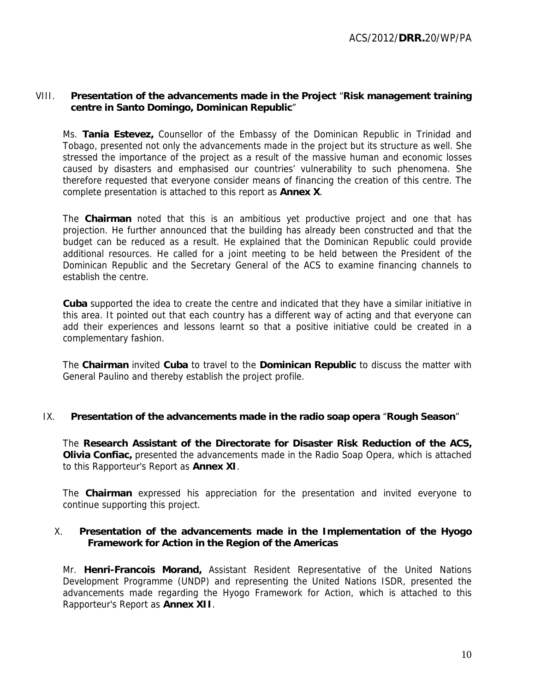## VIII. **Presentation of the advancements made in the Project** "**Risk management training centre in Santo Domingo, Dominican Republic**"

Ms. **Tania Estevez,** Counsellor of the Embassy of the Dominican Republic in Trinidad and Tobago, presented not only the advancements made in the project but its structure as well. She stressed the importance of the project as a result of the massive human and economic losses caused by disasters and emphasised our countries' vulnerability to such phenomena. She therefore requested that everyone consider means of financing the creation of this centre. The complete presentation is attached to this report as **Annex X**.

The **Chairman** noted that this is an ambitious yet productive project and one that has projection. He further announced that the building has already been constructed and that the budget can be reduced as a result. He explained that the Dominican Republic could provide additional resources. He called for a joint meeting to be held between the President of the Dominican Republic and the Secretary General of the ACS to examine financing channels to establish the centre.

**Cuba** supported the idea to create the centre and indicated that they have a similar initiative in this area. It pointed out that each country has a different way of acting and that everyone can add their experiences and lessons learnt so that a positive initiative could be created in a complementary fashion.

The **Chairman** invited **Cuba** to travel to the **Dominican Republic** to discuss the matter with General Paulino and thereby establish the project profile.

## IX. **Presentation of the advancements made in the radio soap opera** "**Rough Season**"

The **Research Assistant of the Directorate for Disaster Risk Reduction of the ACS, Olivia Confiac,** presented the advancements made in the Radio Soap Opera, which is attached to this Rapporteur's Report as **Annex XI**.

The **Chairman** expressed his appreciation for the presentation and invited everyone to continue supporting this project.

## X. **Presentation of the advancements made in the Implementation of the Hyogo Framework for Action in the Region of the Americas**

Mr. **Henri-Francois Morand,** Assistant Resident Representative of the United Nations Development Programme (UNDP) and representing the United Nations ISDR, presented the advancements made regarding the Hyogo Framework for Action, which is attached to this Rapporteur's Report as **Annex XII**.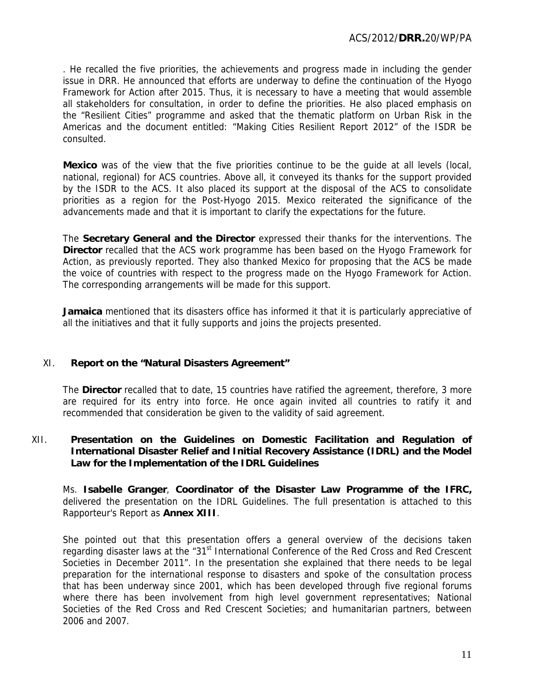. He recalled the five priorities, the achievements and progress made in including the gender issue in DRR. He announced that efforts are underway to define the continuation of the Hyogo Framework for Action after 2015. Thus, it is necessary to have a meeting that would assemble all stakeholders for consultation, in order to define the priorities. He also placed emphasis on the "Resilient Cities" programme and asked that the thematic platform on Urban Risk in the Americas and the document entitled: "Making Cities Resilient Report 2012" of the ISDR be consulted.

**Mexico** was of the view that the five priorities continue to be the guide at all levels (local, national, regional) for ACS countries. Above all, it conveyed its thanks for the support provided by the ISDR to the ACS. It also placed its support at the disposal of the ACS to consolidate priorities as a region for the Post-Hyogo 2015. Mexico reiterated the significance of the advancements made and that it is important to clarify the expectations for the future.

The **Secretary General and the Director** expressed their thanks for the interventions. The **Director** recalled that the ACS work programme has been based on the Hyogo Framework for Action, as previously reported. They also thanked Mexico for proposing that the ACS be made the voice of countries with respect to the progress made on the Hyogo Framework for Action. The corresponding arrangements will be made for this support.

**Jamaica** mentioned that its disasters office has informed it that it is particularly appreciative of all the initiatives and that it fully supports and joins the projects presented.

# XI. **Report on the "Natural Disasters Agreement"**

The **Director** recalled that to date, 15 countries have ratified the agreement, therefore, 3 more are required for its entry into force. He once again invited all countries to ratify it and recommended that consideration be given to the validity of said agreement.

## XII. **Presentation on the Guidelines on Domestic Facilitation and Regulation of International Disaster Relief and Initial Recovery Assistance (IDRL) and the Model Law for the Implementation of the IDRL Guidelines**

Ms. **Isabelle Granger**, **Coordinator of the Disaster Law Programme of the IFRC,**  delivered the presentation on the IDRL Guidelines. The full presentation is attached to this Rapporteur's Report as **Annex XIII**.

She pointed out that this presentation offers a general overview of the decisions taken regarding disaster laws at the "31<sup>st</sup> International Conference of the Red Cross and Red Crescent Societies in December 2011". In the presentation she explained that there needs to be legal preparation for the international response to disasters and spoke of the consultation process that has been underway since 2001, which has been developed through five regional forums where there has been involvement from high level government representatives; National Societies of the Red Cross and Red Crescent Societies; and humanitarian partners, between 2006 and 2007.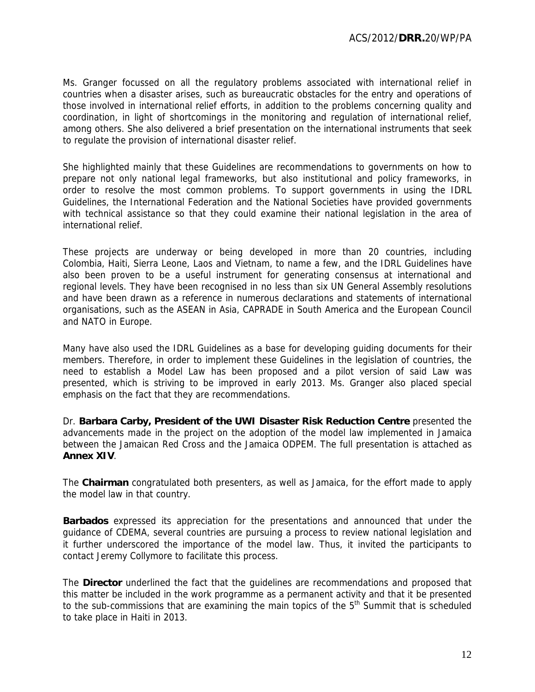Ms. Granger focussed on all the regulatory problems associated with international relief in countries when a disaster arises, such as bureaucratic obstacles for the entry and operations of those involved in international relief efforts, in addition to the problems concerning quality and coordination, in light of shortcomings in the monitoring and regulation of international relief, among others. She also delivered a brief presentation on the international instruments that seek to regulate the provision of international disaster relief.

She highlighted mainly that these Guidelines are recommendations to governments on how to prepare not only national legal frameworks, but also institutional and policy frameworks, in order to resolve the most common problems. To support governments in using the IDRL Guidelines, the International Federation and the National Societies have provided governments with technical assistance so that they could examine their national legislation in the area of international relief.

These projects are underway or being developed in more than 20 countries, including Colombia, Haiti, Sierra Leone, Laos and Vietnam, to name a few, and the IDRL Guidelines have also been proven to be a useful instrument for generating consensus at international and regional levels. They have been recognised in no less than six UN General Assembly resolutions and have been drawn as a reference in numerous declarations and statements of international organisations, such as the ASEAN in Asia, CAPRADE in South America and the European Council and NATO in Europe.

Many have also used the IDRL Guidelines as a base for developing guiding documents for their members. Therefore, in order to implement these Guidelines in the legislation of countries, the need to establish a Model Law has been proposed and a pilot version of said Law was presented, which is striving to be improved in early 2013. Ms. Granger also placed special emphasis on the fact that they are recommendations.

Dr. **Barbara Carby, President of the UWI Disaster Risk Reduction Centre** presented the advancements made in the project on the adoption of the model law implemented in Jamaica between the Jamaican Red Cross and the Jamaica ODPEM. The full presentation is attached as **Annex XIV**.

The **Chairman** congratulated both presenters, as well as Jamaica, for the effort made to apply the model law in that country.

**Barbados** expressed its appreciation for the presentations and announced that under the guidance of CDEMA, several countries are pursuing a process to review national legislation and it further underscored the importance of the model law. Thus, it invited the participants to contact Jeremy Collymore to facilitate this process.

The **Director** underlined the fact that the guidelines are recommendations and proposed that this matter be included in the work programme as a permanent activity and that it be presented to the sub-commissions that are examining the main topics of the  $5<sup>th</sup>$  Summit that is scheduled to take place in Haiti in 2013.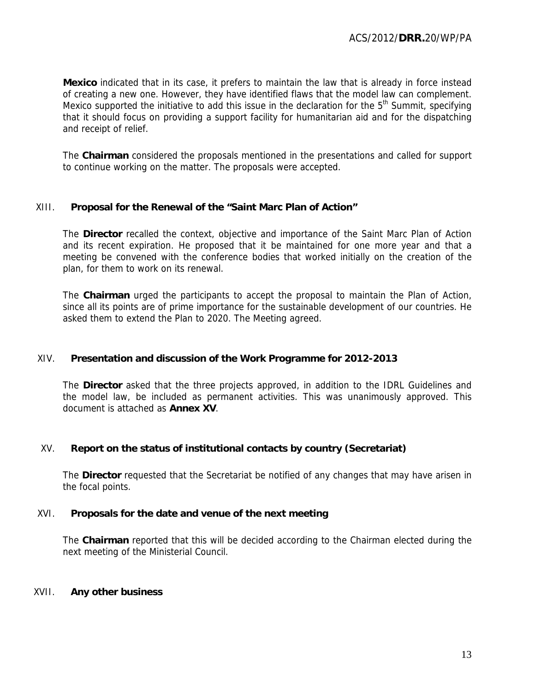**Mexico** indicated that in its case, it prefers to maintain the law that is already in force instead of creating a new one. However, they have identified flaws that the model law can complement. Mexico supported the initiative to add this issue in the declaration for the  $5<sup>th</sup>$  Summit, specifying that it should focus on providing a support facility for humanitarian aid and for the dispatching and receipt of relief.

The **Chairman** considered the proposals mentioned in the presentations and called for support to continue working on the matter. The proposals were accepted.

## XIII. **Proposal for the Renewal of the "Saint Marc Plan of Action"**

The **Director** recalled the context, objective and importance of the Saint Marc Plan of Action and its recent expiration. He proposed that it be maintained for one more year and that a meeting be convened with the conference bodies that worked initially on the creation of the plan, for them to work on its renewal.

The **Chairman** urged the participants to accept the proposal to maintain the Plan of Action, since all its points are of prime importance for the sustainable development of our countries. He asked them to extend the Plan to 2020. The Meeting agreed.

## XIV. **Presentation and discussion of the Work Programme for 2012-2013**

The **Director** asked that the three projects approved, in addition to the IDRL Guidelines and the model law, be included as permanent activities. This was unanimously approved. This document is attached as **Annex XV**.

# XV. **Report on the status of institutional contacts by country (Secretariat)**

The **Director** requested that the Secretariat be notified of any changes that may have arisen in the focal points.

## XVI. **Proposals for the date and venue of the next meeting**

The **Chairman** reported that this will be decided according to the Chairman elected during the next meeting of the Ministerial Council.

## XVII. **Any other business**